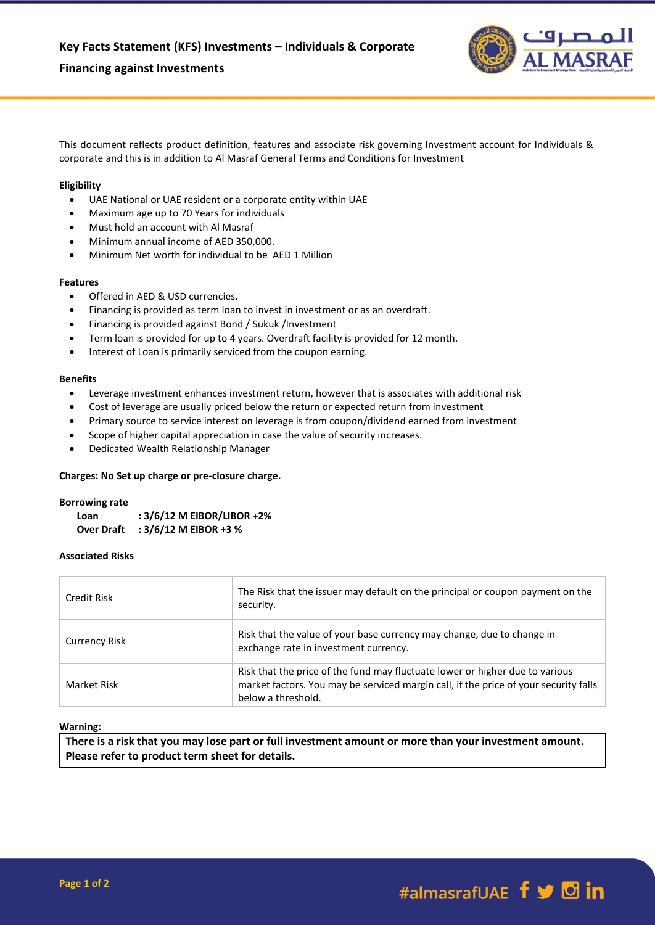# **Financing against Investments**



This document reflects product definition, features and associate risk governing Investment account for Individuals & corporate and this is in addition to Al Masraf General Terms and Conditions for Investment

# **Eligibility**

- UAE National or UAE resident or a corporate entity within UAE
- Maximum age up to 70 Years for individuals
- Must hold an account with Al Masraf
- Minimum annual income of AED 350,000.
- Minimum Net worth for individual to be AED 1 Million

## **Features**

- Offered in AED & USD currencies.
- Financing is provided as term loan to invest in investment or as an overdraft.
- Financing is provided against Bond / Sukuk /Investment
- Term loan is provided for up to 4 years. Overdraft facility is provided for 12 month.
- Interest of Loan is primarily serviced from the coupon earning.

### **Benefits**

- Leverage investment enhances investment return, however that is associates with additional risk
- Cost of leverage are usually priced below the return or expected return from investment
- Primary source to service interest on leverage is from coupon/dividend earned from investment
- Scope of higher capital appreciation in case the value of security increases.
- Dedicated Wealth Relationship Manager

# **Charges: No Set up charge or pre-closure charge.**

#### **Borrowing rate**

| Loan              | : 3/6/12 M EIBOR/LIBOR +2% |
|-------------------|----------------------------|
| <b>Over Draft</b> | : $3/6/12$ M EIBOR +3 %    |

### **Associated Risks**

| Credit Risk          | The Risk that the issuer may default on the principal or coupon payment on the<br>security.                                                                                                |
|----------------------|--------------------------------------------------------------------------------------------------------------------------------------------------------------------------------------------|
| <b>Currency Risk</b> | Risk that the value of your base currency may change, due to change in<br>exchange rate in investment currency.                                                                            |
| Market Risk          | Risk that the price of the fund may fluctuate lower or higher due to various<br>market factors. You may be serviced margin call, if the price of your security falls<br>below a threshold. |

### **Warning:**

**There is a risk that you may lose part or full investment amount or more than your investment amount. Please refer to product term sheet for details.**